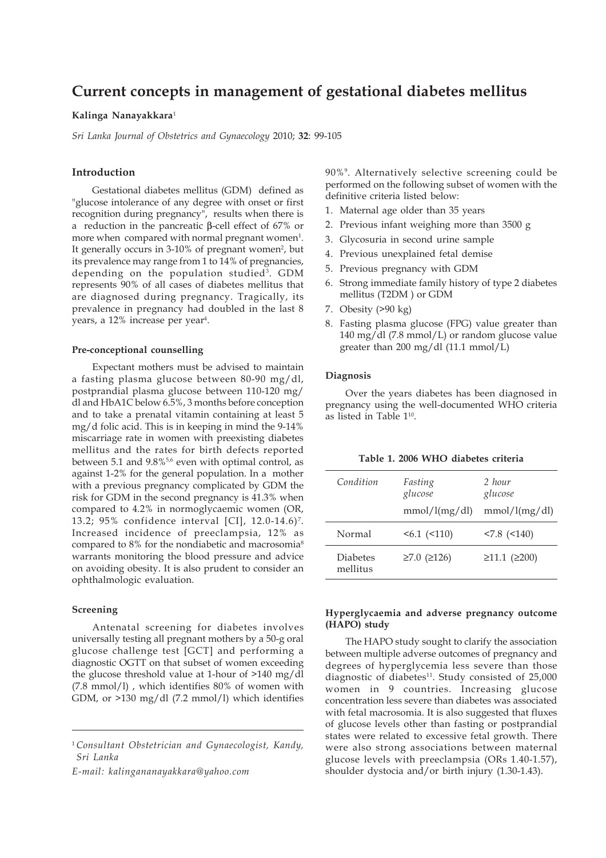# **Current concepts in management of gestational diabetes mellitus**

# **Kalinga Nanayakkara**<sup>1</sup>

*Sri Lanka Journal of Obstetrics and Gynaecology* 2010; **32**: 99-105

# **Introduction**

Gestational diabetes mellitus (GDM) defined as "glucose intolerance of any degree with onset or first recognition during pregnancy", results when there is a reduction in the pancreatic β-cell effect of 67% or more when compared with normal pregnant women<sup>1</sup>. It generally occurs in 3-10% of pregnant women<sup>2</sup>, but its prevalence may range from 1 to 14% of pregnancies, depending on the population studied<sup>3</sup>. GDM represents 90% of all cases of diabetes mellitus that are diagnosed during pregnancy. Tragically, its prevalence in pregnancy had doubled in the last 8 years, a 12% increase per year<sup>4</sup>.

## **Pre-conceptional counselling**

Expectant mothers must be advised to maintain a fasting plasma glucose between 80-90 mg/dl, postprandial plasma glucose between 110-120 mg/ dl and HbA1C below 6.5%, 3 months before conception and to take a prenatal vitamin containing at least 5 mg/d folic acid. This is in keeping in mind the 9-14% miscarriage rate in women with preexisting diabetes mellitus and the rates for birth defects reported between 5.1 and  $9.8\%$ <sup>5,6</sup> even with optimal control, as against 1-2% for the general population. In a mother with a previous pregnancy complicated by GDM the risk for GDM in the second pregnancy is 41.3% when compared to 4.2% in normoglycaemic women (OR, 13.2; 95% confidence interval [CI], 12.0-14.6) 7. Increased incidence of preeclampsia, 12% as compared to 8% for the nondiabetic and macrosomia<sup>8</sup> warrants monitoring the blood pressure and advice on avoiding obesity. It is also prudent to consider an ophthalmologic evaluation.

## **Screening**

Antenatal screening for diabetes involves universally testing all pregnant mothers by a 50-g oral glucose challenge test [GCT] and performing a diagnostic OGTT on that subset of women exceeding the glucose threshold value at 1-hour of >140 mg/dl (7.8 mmol/l) , which identifies 80% of women with GDM, or >130 mg/dl (7.2 mmol/l) which identifies

*E-mail: kalingananayakkara@yahoo.com*

90%9. Alternatively selective screening could be performed on the following subset of women with the definitive criteria listed below:

- 1. Maternal age older than 35 years
- 2. Previous infant weighing more than 3500 g
- 3. Glycosuria in second urine sample
- 4. Previous unexplained fetal demise
- 5. Previous pregnancy with GDM
- 6. Strong immediate family history of type 2 diabetes mellitus (T2DM ) or GDM
- 7. Obesity (>90 kg)
- 8. Fasting plasma glucose (FPG) value greater than 140 mg/dl (7.8 mmol/L) or random glucose value greater than 200 mg/dl (11.1 mmol/L)

## **Diagnosis**

mellitus

Over the years diabetes has been diagnosed in pregnancy using the well-documented WHO criteria as listed in Table 110.

| Table 1. 2000 VVIIO ulabeles chiena |                                     |                                    |
|-------------------------------------|-------------------------------------|------------------------------------|
| Condition                           | Fasting<br>glucose<br>mmol/l(mg/dl) | 2 hour<br>glucose<br>mmol/l(mg/dl) |
| Normal                              | $56.1$ ( $5110$ )                   | $< 7.8$ $(< 140)$                  |
|                                     |                                     |                                    |

Diabetes  $\geq 7.0$  ( $\geq 126$ )  $\geq 11.1$  ( $\geq 200$ )

## **Table 1. 2006 WHO diabetes criteria**

# **Hyperglycaemia and adverse pregnancy outcome (HAPO) study**

The HAPO study sought to clarify the association between multiple adverse outcomes of pregnancy and degrees of hyperglycemia less severe than those diagnostic of diabetes $11$ . Study consisted of 25,000 women in 9 countries. Increasing glucose concentration less severe than diabetes was associated with fetal macrosomia. It is also suggested that fluxes of glucose levels other than fasting or postprandial states were related to excessive fetal growth. There were also strong associations between maternal glucose levels with preeclampsia (ORs 1.40-1.57), shoulder dystocia and/or birth injury (1.30-1.43).

<sup>1</sup>*Consultant Obstetrician and Gynaecologist, Kandy, Sri Lanka*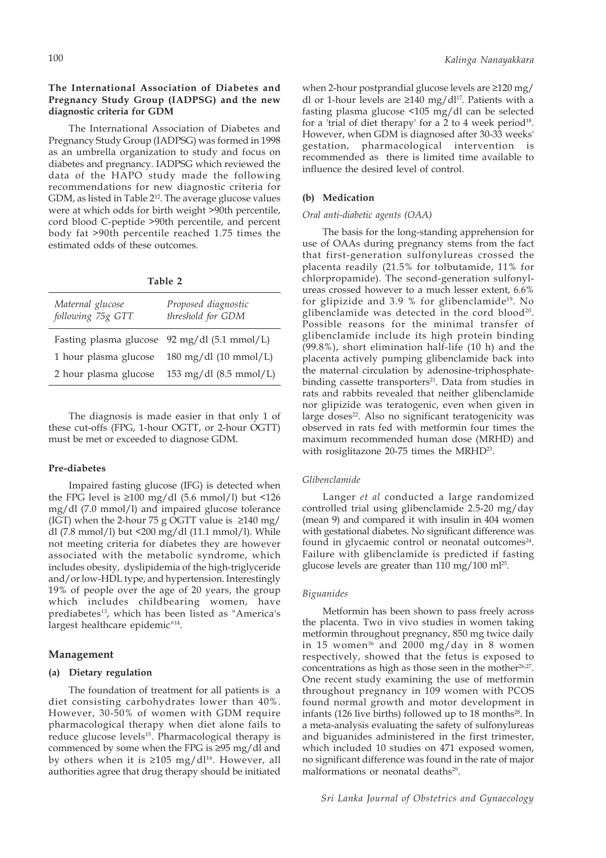# **The International Association of Diabetes and Pregnancy Study Group (IADPSG) and the new diagnostic criteria for GDM**

The International Association of Diabetes and Pregnancy Study Group (IADPSG) was formed in 1998 as an umbrella organization to study and focus on diabetes and pregnancy. IADPSG which reviewed the data of the HAPO study made the following recommendations for new diagnostic criteria for GDM, as listed in Table 212. The average glucose values were at which odds for birth weight >90th percentile, cord blood C-peptide >90th percentile, and percent body fat >90th percentile reached 1.75 times the estimated odds of these outcomes.

| I<br>۰,<br>× |  |
|--------------|--|
|--------------|--|

| Maternal glucose<br>following 75g GTT | Proposed diagnostic<br>threshold for GDM     |
|---------------------------------------|----------------------------------------------|
|                                       | Fasting plasma glucose 92 mg/dl (5.1 mmol/L) |
| 1 hour plasma glucose                 | 180 mg/dl $(10 \text{ mmol/L})$              |
| 2 hour plasma glucose                 | 153 mg/dl $(8.5 \text{ mmol/L})$             |

The diagnosis is made easier in that only 1 of these cut-offs (FPG, 1-hour OGTT, or 2-hour OGTT) must be met or exceeded to diagnose GDM.

#### **Pre-diabetes**

Impaired fasting glucose (IFG) is detected when the FPG level is  $\geq 100$  mg/dl (5.6 mmol/l) but <126 mg/dl (7.0 mmol/l) and impaired glucose tolerance (IGT) when the 2-hour 75 g OGTT value is  $\geq$ 140 mg/ dl (7.8 mmol/l) but <200 mg/dl (11.1 mmol/l). While not meeting criteria for diabetes they are however associated with the metabolic syndrome, which includes obesity, dyslipidemia of the high-triglyceride and/or low-HDL type, and hypertension. Interestingly 19% of people over the age of 20 years, the group which includes childbearing women, have prediabetes<sup>13</sup>, which has been listed as "America's largest healthcare epidemic<sup>"14</sup>.

## **Management**

## **(a) Dietary regulation**

The foundation of treatment for all patients is a diet consisting carbohydrates lower than 40%. However, 30-50% of women with GDM require pharmacological therapy when diet alone fails to reduce glucose levels<sup>15</sup>. Pharmacological therapy is commenced by some when the FPG is ≥95 mg/dl and by others when it is  $\geq 105$  mg/dl<sup>16</sup>. However, all authorities agree that drug therapy should be initiated

when 2-hour postprandial glucose levels are ≥120 mg/ dl or 1-hour levels are  $\geq 140$  mg/dl<sup>17</sup>. Patients with a fasting plasma glucose <105 mg/dl can be selected for a 'trial of diet therapy' for a  $2$  to  $4$  week period<sup>18</sup>. However, when GDM is diagnosed after 30-33 weeks' gestation, pharmacological intervention is recommended as there is limited time available to influence the desired level of control.

### **(b) Medication**

#### *Oral anti-diabetic agents (OAA)*

The basis for the long-standing apprehension for use of OAAs during pregnancy stems from the fact that first-generation sulfonylureas crossed the placenta readily (21.5% for tolbutamide, 11% for chlorpropamide). The second-generation sulfonylureas crossed however to a much lesser extent, 6.6% for glipizide and 3.9 % for glibenclamide<sup>19</sup>. No glibenclamide was detected in the cord blood<sup>20</sup>. Possible reasons for the minimal transfer of glibenclamide include its high protein binding (99.8%), short elimination half-life (10 h) and the placenta actively pumping glibenclamide back into the maternal circulation by adenosine-triphosphatebinding cassette transporters<sup>21</sup>. Data from studies in rats and rabbits revealed that neither glibenclamide nor glipizide was teratogenic, even when given in large doses<sup>22</sup>. Also no significant teratogenicity was observed in rats fed with metformin four times the maximum recommended human dose (MRHD) and with rosiglitazone 20-75 times the MRHD<sup>23</sup>.

#### *Glibenclamide*

Langer *et al* conducted a large randomized controlled trial using glibenclamide 2.5-20 mg/day (mean 9) and compared it with insulin in 404 women with gestational diabetes. No significant difference was found in glycaemic control or neonatal outcomes $24$ . Failure with glibenclamide is predicted if fasting glucose levels are greater than  $110 \text{ mg}/100 \text{ ml}^{25}$ .

#### *Biguanides*

Metformin has been shown to pass freely across the placenta. Two in vivo studies in women taking metformin throughout pregnancy, 850 mg twice daily in 15 women<sup>36</sup> and 2000 mg/day in 8 women respectively, showed that the fetus is exposed to concentrations as high as those seen in the mother<sup>26,27</sup>. One recent study examining the use of metformin throughout pregnancy in 109 women with PCOS found normal growth and motor development in infants (126 live births) followed up to 18 months<sup>28</sup>. In a meta-analysis evaluating the safety of sulfonylureas and biguanides administered in the first trimester, which included 10 studies on 471 exposed women, no significant difference was found in the rate of major malformations or neonatal deaths<sup>29</sup>.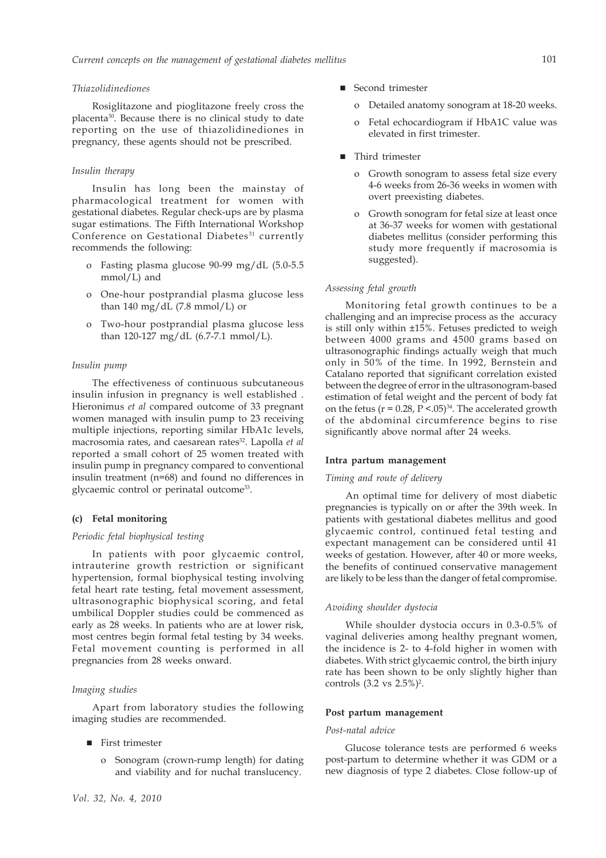#### *Thiazolidinediones*

Rosiglitazone and pioglitazone freely cross the placenta30. Because there is no clinical study to date reporting on the use of thiazolidinediones in pregnancy, these agents should not be prescribed.

## *Insulin therapy*

Insulin has long been the mainstay of pharmacological treatment for women with gestational diabetes. Regular check-ups are by plasma sugar estimations. The Fifth International Workshop Conference on Gestational Diabetes<sup>31</sup> currently recommends the following:

- o Fasting plasma glucose 90-99 mg/dL (5.0-5.5 mmol/L) and
- o One-hour postprandial plasma glucose less than 140 mg/dL  $(7.8 \text{ mmol/L})$  or
- o Two-hour postprandial plasma glucose less than 120-127 mg/dL (6.7-7.1 mmol/L).

#### *Insulin pump*

The effectiveness of continuous subcutaneous insulin infusion in pregnancy is well established . Hieronimus *et al* compared outcome of 33 pregnant women managed with insulin pump to 23 receiving multiple injections, reporting similar HbA1c levels, macrosomia rates, and caesarean rates32. Lapolla *et al* reported a small cohort of 25 women treated with insulin pump in pregnancy compared to conventional insulin treatment (n=68) and found no differences in glycaemic control or perinatal outcome33.

# **(c) Fetal monitoring**

#### *Periodic fetal biophysical testing*

In patients with poor glycaemic control, intrauterine growth restriction or significant hypertension, formal biophysical testing involving fetal heart rate testing, fetal movement assessment, ultrasonographic biophysical scoring, and fetal umbilical Doppler studies could be commenced as early as 28 weeks. In patients who are at lower risk, most centres begin formal fetal testing by 34 weeks. Fetal movement counting is performed in all pregnancies from 28 weeks onward.

## *Imaging studies*

Apart from laboratory studies the following imaging studies are recommended.

- First trimester
	- o Sonogram (crown-rump length) for dating and viability and for nuchal translucency.
- Second trimester
	- o Detailed anatomy sonogram at 18-20 weeks.
	- o Fetal echocardiogram if HbA1C value was elevated in first trimester.
- Third trimester
	- o Growth sonogram to assess fetal size every 4-6 weeks from 26-36 weeks in women with overt preexisting diabetes.
	- o Growth sonogram for fetal size at least once at 36-37 weeks for women with gestational diabetes mellitus (consider performing this study more frequently if macrosomia is suggested).

#### *Assessing fetal growth*

Monitoring fetal growth continues to be a challenging and an imprecise process as the accuracy is still only within ±15%. Fetuses predicted to weigh between 4000 grams and 4500 grams based on ultrasonographic findings actually weigh that much only in 50% of the time. In 1992, Bernstein and Catalano reported that significant correlation existed between the degree of error in the ultrasonogram-based estimation of fetal weight and the percent of body fat on the fetus ( $r = 0.28$ ,  $P \leq .05$ )<sup>34</sup>. The accelerated growth of the abdominal circumference begins to rise significantly above normal after 24 weeks.

#### **Intra partum management**

## *Timing and route of delivery*

An optimal time for delivery of most diabetic pregnancies is typically on or after the 39th week. In patients with gestational diabetes mellitus and good glycaemic control, continued fetal testing and expectant management can be considered until 41 weeks of gestation. However, after 40 or more weeks, the benefits of continued conservative management are likely to be less than the danger of fetal compromise.

#### *Avoiding shoulder dystocia*

While shoulder dystocia occurs in 0.3-0.5% of vaginal deliveries among healthy pregnant women, the incidence is 2- to 4-fold higher in women with diabetes. With strict glycaemic control, the birth injury rate has been shown to be only slightly higher than controls  $(3.2 \text{ vs } 2.5\%)^2$ .

#### **Post partum management**

## *Post-natal advice*

Glucose tolerance tests are performed 6 weeks post-partum to determine whether it was GDM or a new diagnosis of type 2 diabetes. Close follow-up of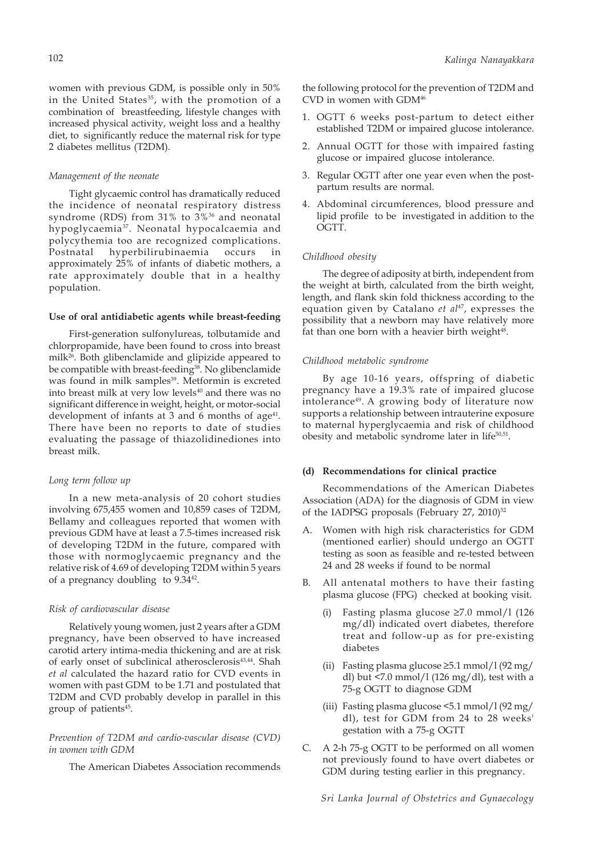women with previous GDM, is possible only in 50% in the United States<sup>35</sup>, with the promotion of a combination of breastfeeding, lifestyle changes with increased physical activity, weight loss and a healthy diet, to significantly reduce the maternal risk for type 2 diabetes mellitus (T2DM).

#### *Management of the neonate*

Tight glycaemic control has dramatically reduced the incidence of neonatal respiratory distress syndrome (RDS) from 31% to 3%<sup>36</sup> and neonatal hypoglycaemia37. Neonatal hypocalcaemia and polycythemia too are recognized complications. Postnatal hyperbilirubinaemia occurs in approximately 25% of infants of diabetic mothers, a rate approximately double that in a healthy population.

#### **Use of oral antidiabetic agents while breast-feeding**

First-generation sulfonylureas, tolbutamide and chlorpropamide, have been found to cross into breast milk26. Both glibenclamide and glipizide appeared to be compatible with breast-feeding<sup>38</sup>. No glibenclamide was found in milk samples<sup>39</sup>. Metformin is excreted into breast milk at very low levels<sup>40</sup> and there was no significant difference in weight, height, or motor-social development of infants at 3 and 6 months of age<sup>41</sup>. There have been no reports to date of studies evaluating the passage of thiazolidinediones into breast milk.

### *Long term follow up*

In a new meta-analysis of 20 cohort studies involving 675,455 women and 10,859 cases of T2DM, Bellamy and colleagues reported that women with previous GDM have at least a 7.5-times increased risk of developing T2DM in the future, compared with those with normoglycaemic pregnancy and the relative risk of 4.69 of developing T2DM within 5 years of a pregnancy doubling to 9.3442.

#### *Risk of cardiovascular disease*

Relatively young women, just 2 years after a GDM pregnancy, have been observed to have increased carotid artery intima-media thickening and are at risk of early onset of subclinical atherosclerosis<sup>43,44</sup>. Shah *et al* calculated the hazard ratio for CVD events in women with past GDM to be 1.71 and postulated that T2DM and CVD probably develop in parallel in this group of patients<sup>45</sup>.

## *Prevention of T2DM and cardio-vascular disease (CVD) in women with GDM*

The American Diabetes Association recommends

the following protocol for the prevention of T2DM and CVD in women with GDM46

- 1. OGTT 6 weeks post-partum to detect either established T2DM or impaired glucose intolerance.
- 2. Annual OGTT for those with impaired fasting glucose or impaired glucose intolerance.
- 3. Regular OGTT after one year even when the postpartum results are normal.
- 4. Abdominal circumferences, blood pressure and lipid profile to be investigated in addition to the OGTT.

#### *Childhood obesity*

The degree of adiposity at birth, independent from the weight at birth, calculated from the birth weight, length, and flank skin fold thickness according to the equation given by Catalano et al<sup>47</sup>, expresses the possibility that a newborn may have relatively more fat than one born with a heavier birth weight<sup>48</sup>.

#### *Childhood metabolic syndrome*

By age 10-16 years, offspring of diabetic pregnancy have a 19.3% rate of impaired glucose intolerance<sup>49</sup>. A growing body of literature now supports a relationship between intrauterine exposure to maternal hyperglycaemia and risk of childhood obesity and metabolic syndrome later in life<sup>50,51</sup>.

#### **(d) Recommendations for clinical practice**

Recommendations of the American Diabetes Association (ADA) for the diagnosis of GDM in view of the IADPSG proposals (February 27, 2010)<sup>52</sup>

- A. Women with high risk characteristics for GDM (mentioned earlier) should undergo an OGTT testing as soon as feasible and re-tested between 24 and 28 weeks if found to be normal
- B. All antenatal mothers to have their fasting plasma glucose (FPG) checked at booking visit.
	- (i) Fasting plasma glucose ≥7.0 mmol/l (126 mg/dl) indicated overt diabetes, therefore treat and follow-up as for pre-existing diabetes
	- (ii) Fasting plasma glucose  $\geq 5.1$  mmol/l (92 mg/ dl) but <7.0 mmol/l (126 mg/dl), test with a 75-g OGTT to diagnose GDM
	- (iii) Fasting plasma glucose <5.1 mmol/l (92 mg/ dl), test for GDM from 24 to 28 weeks' gestation with a 75-g OGTT
- C. A 2-h 75-g OGTT to be performed on all women not previously found to have overt diabetes or GDM during testing earlier in this pregnancy.

*Sri Lanka Journal of Obstetrics and Gynaecology*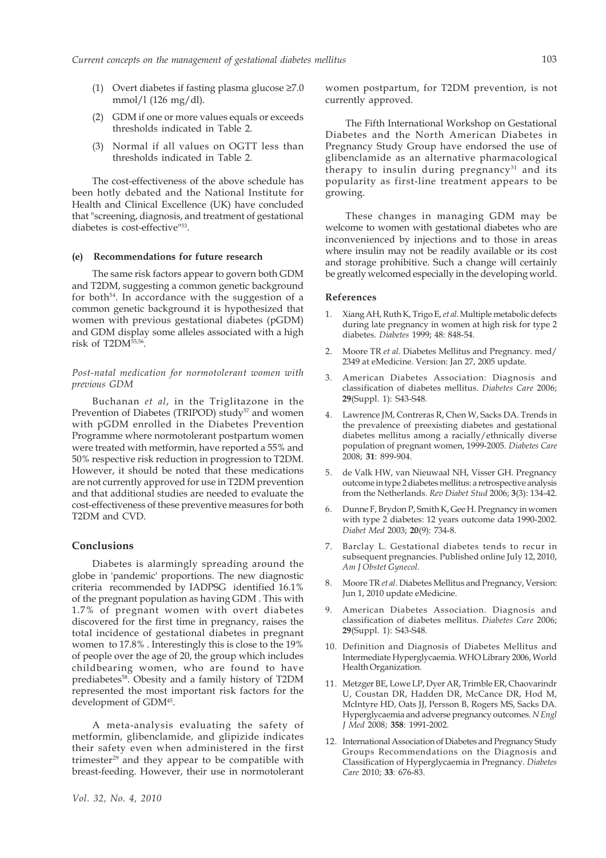- (1) Overt diabetes if fasting plasma glucose ≥7.0 mmol/l (126 mg/dl).
- (2) GDM if one or more values equals or exceeds thresholds indicated in Table 2.
- (3) Normal if all values on OGTT less than thresholds indicated in Table 2.

The cost-effectiveness of the above schedule has been hotly debated and the National Institute for Health and Clinical Excellence (UK) have concluded that "screening, diagnosis, and treatment of gestational diabetes is cost-effective"53.

#### **(e) Recommendations for future research**

The same risk factors appear to govern both GDM and T2DM, suggesting a common genetic background for both<sup>54</sup>. In accordance with the suggestion of a common genetic background it is hypothesized that women with previous gestational diabetes (pGDM) and GDM display some alleles associated with a high risk of T2DM55,56.

## *Post-natal medication for normotolerant women with previous GDM*

Buchanan *et al*, in the Triglitazone in the Prevention of Diabetes (TRIPOD) study<sup>57</sup> and women with pGDM enrolled in the Diabetes Prevention Programme where normotolerant postpartum women were treated with metformin, have reported a 55% and 50% respective risk reduction in progression to T2DM. However, it should be noted that these medications are not currently approved for use in T2DM prevention and that additional studies are needed to evaluate the cost-effectiveness of these preventive measures for both T2DM and CVD.

#### **Conclusions**

Diabetes is alarmingly spreading around the globe in 'pandemic' proportions. The new diagnostic criteria recommended by IADPSG identified 16.1% of the pregnant population as having GDM . This with 1.7% of pregnant women with overt diabetes discovered for the first time in pregnancy, raises the total incidence of gestational diabetes in pregnant women to 17.8% . Interestingly this is close to the 19% of people over the age of 20, the group which includes childbearing women, who are found to have prediabetes<sup>58</sup>. Obesity and a family history of T2DM represented the most important risk factors for the development of GDM45.

A meta-analysis evaluating the safety of metformin, glibenclamide, and glipizide indicates their safety even when administered in the first trimester<sup>29</sup> and they appear to be compatible with breast-feeding. However, their use in normotolerant women postpartum, for T2DM prevention, is not currently approved.

The Fifth International Workshop on Gestational Diabetes and the North American Diabetes in Pregnancy Study Group have endorsed the use of glibenclamide as an alternative pharmacological therapy to insulin during pregnancy $31$  and its popularity as first-line treatment appears to be growing.

These changes in managing GDM may be welcome to women with gestational diabetes who are inconvenienced by injections and to those in areas where insulin may not be readily available or its cost and storage prohibitive. Such a change will certainly be greatly welcomed especially in the developing world.

#### **References**

- 1. Xiang AH, Ruth K, Trigo E, *et al*. Multiple metabolic defects during late pregnancy in women at high risk for type 2 diabetes. *Diabetes* 1999; 48: 848-54.
- 2. Moore TR *et al*. Diabetes Mellitus and Pregnancy. med/ 2349 at eMedicine. Version: Jan 27, 2005 update.
- 3. American Diabetes Association: Diagnosis and classification of diabetes mellitus. *Diabetes Care* 2006; **29**(Suppl. 1): S43-S48.
- Lawrence JM, Contreras R, Chen W, Sacks DA. Trends in the prevalence of preexisting diabetes and gestational diabetes mellitus among a racially/ethnically diverse population of pregnant women, 1999-2005. *Diabetes Care* 2008; **31**: 899-904.
- 5. de Valk HW, van Nieuwaal NH, Visser GH. Pregnancy outcome in type 2 diabetes mellitus: a retrospective analysis from the Netherlands. *Rev Diabet Stud* 2006; **3**(3): 134-42.
- 6. Dunne F, Brydon P, Smith K, Gee H. Pregnancy in women with type 2 diabetes: 12 years outcome data 1990-2002. *Diabet Med* 2003; **20**(9): 734-8.
- 7. Barclay L. Gestational diabetes tends to recur in subsequent pregnancies. Published online July 12, 2010, *Am J Obstet Gynecol*.
- 8. Moore TR *et al*. Diabetes Mellitus and Pregnancy, Version: Jun 1, 2010 update eMedicine.
- 9. American Diabetes Association. Diagnosis and classification of diabetes mellitus. *Diabetes Care* 2006; **29**(Suppl. 1): S43-S48.
- 10. Definition and Diagnosis of Diabetes Mellitus and Intermediate Hyperglycaemia. WHO Library 2006, World Health Organization.
- 11. Metzger BE, Lowe LP, Dyer AR, Trimble ER, Chaovarindr U, Coustan DR, Hadden DR, McCance DR, Hod M, McIntyre HD, Oats JJ, Persson B, Rogers MS, Sacks DA. Hyperglycaemia and adverse pregnancy outcomes. *N Engl J Med* 2008; **358**: 1991-2002.
- 12. International Association of Diabetes and Pregnancy Study Groups Recommendations on the Diagnosis and Classification of Hyperglycaemia in Pregnancy. *Diabetes Care* 2010; **33**: 676-83.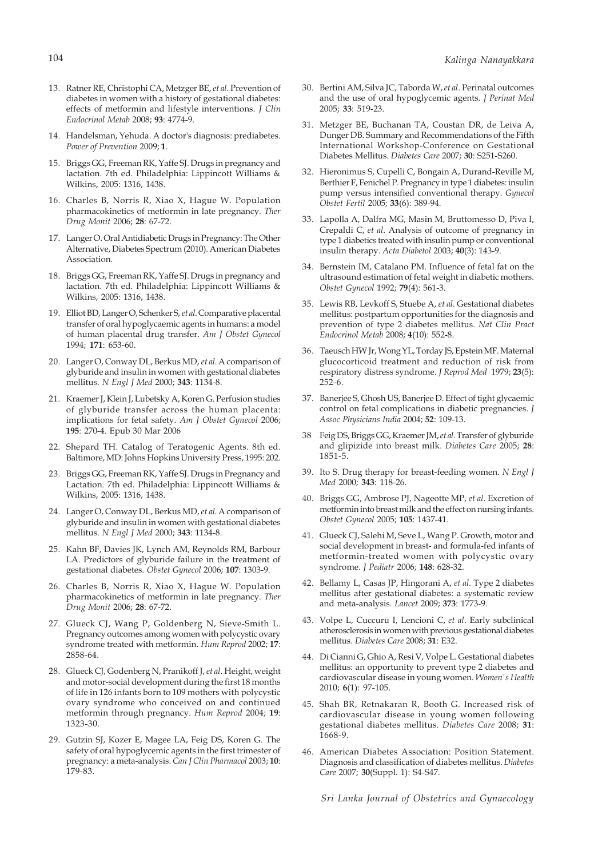- 13. Ratner RE, Christophi CA, Metzger BE, *et al*. Prevention of diabetes in women with a history of gestational diabetes: effects of metformin and lifestyle interventions. *J Clin Endocrinol Metab* 2008; **93**: 4774-9.
- 14. Handelsman, Yehuda. A doctor's diagnosis: prediabetes. *Power of Prevention* 2009; **1**.
- 15. Briggs GG, Freeman RK, Yaffe SJ. Drugs in pregnancy and lactation. 7th ed. Philadelphia: Lippincott Williams & Wilkins, 2005: 1316, 1438.
- 16. Charles B, Norris R, Xiao X, Hague W. Population pharmacokinetics of metformin in late pregnancy. *Ther Drug Monit* 2006; **28**: 67-72.
- 17. Langer O. Oral Antidiabetic Drugs in Pregnancy: The Other Alternative, Diabetes Spectrum (2010). American Diabetes Association.
- 18. Briggs GG, Freeman RK, Yaffe SJ. Drugs in pregnancy and lactation. 7th ed. Philadelphia: Lippincott Williams & Wilkins, 2005: 1316, 1438.
- 19. Elliot BD, Langer O, Schenker S, *et al*. Comparative placental transfer of oral hypoglycaemic agents in humans: a model of human placental drug transfer. *Am J Obstet Gynecol* 1994; **171**: 653-60.
- 20. Langer O, Conway DL, Berkus MD, *et al*. A comparison of glyburide and insulin in women with gestational diabetes mellitus. *N Engl J Med* 2000; **343**: 1134-8.
- 21. Kraemer J, Klein J, Lubetsky A, Koren G. Perfusion studies of glyburide transfer across the human placenta: implications for fetal safety. *Am J Obstet Gynecol* 2006; **195**: 270-4. Epub 30 Mar 2006
- 22. Shepard TH. Catalog of Teratogenic Agents. 8th ed. Baltimore, MD: Johns Hopkins University Press, 1995: 202.
- 23. Briggs GG, Freeman RK, Yaffe SJ. Drugs in Pregnancy and Lactation. 7th ed. Philadelphia: Lippincott Williams & Wilkins, 2005: 1316, 1438.
- 24. Langer O, Conway DL, Berkus MD, *et al*. A comparison of glyburide and insulin in women with gestational diabetes mellitus. *N Engl J Med* 2000; **343**: 1134-8.
- 25. Kahn BF, Davies JK, Lynch AM, Reynolds RM, Barbour LA. Predictors of glyburide failure in the treatment of gestational diabetes. *Obstet Gynecol* 2006; **107**: 1303-9.
- 26. Charles B, Norris R, Xiao X, Hague W. Population pharmacokinetics of metformin in late pregnancy. *Ther Drug Monit* 2006; **28**: 67-72.
- 27. Glueck CJ, Wang P, Goldenberg N, Sieve-Smith L. Pregnancy outcomes among women with polycystic ovary syndrome treated with metformin. *Hum Reprod* 2002; **17**: 2858-64.
- 28. Glueck CJ, Godenberg N, Pranikoff J, *et al*. Height, weight and motor-social development during the first 18 months of life in 126 infants born to 109 mothers with polycystic ovary syndrome who conceived on and continued metformin through pregnancy. *Hum Reprod* 2004; **19**: 1323-30.
- 29. Gutzin SJ, Kozer E, Magee LA, Feig DS, Koren G. The safety of oral hypoglycemic agents in the first trimester of pregnancy: a meta-analysis. *Can J Clin Pharmacol* 2003; **10**: 179-83.
- 30. Bertini AM, Silva JC, Taborda W, *et al*. Perinatal outcomes and the use of oral hypoglycemic agents. *J Perinat Med* 2005; **33**: 519-23.
- 31. Metzger BE, Buchanan TA, Coustan DR, de Leiva A, Dunger DB. Summary and Recommendations of the Fifth International Workshop-Conference on Gestational Diabetes Mellitus. *Diabetes Care* 2007; **30**: S251-S260.
- 32. Hieronimus S, Cupelli C, Bongain A, Durand-Reville M, Berthier F, Fenichel P. Pregnancy in type 1 diabetes: insulin pump versus intensified conventional therapy. *Gynecol Obstet Fertil* 2005; **33**(6): 389-94.
- 33. Lapolla A, Dalfra MG, Masin M, Bruttomesso D, Piva I, Crepaldi C, *et al*. Analysis of outcome of pregnancy in type 1 diabetics treated with insulin pump or conventional insulin therapy. *Acta Diabetol* 2003; **40**(3): 143-9.
- 34. Bernstein IM, Catalano PM. Influence of fetal fat on the ultrasound estimation of fetal weight in diabetic mothers. *Obstet Gynecol* 1992; **79**(4): 561-3.
- 35. Lewis RB, Levkoff S, Stuebe A, *et al*. Gestational diabetes mellitus: postpartum opportunities for the diagnosis and prevention of type 2 diabetes mellitus. *Nat Clin Pract Endocrinol Metab* 2008; **4**(10): 552-8.
- 36. Taeusch HW Jr, Wong YL, Torday JS, Epstein MF. Maternal glucocorticoid treatment and reduction of risk from respiratory distress syndrome. *J Reprod Med* 1979; **23**(5): 252-6.
- 37. Banerjee S, Ghosh US, Banerjee D. Effect of tight glycaemic control on fetal complications in diabetic pregnancies. *J Assoc Physicians India* 2004; **52**: 109-13.
- 38 Feig DS, Briggs GG, Kraemer JM, *et al*. Transfer of glyburide and glipizide into breast milk. *Diabetes Care* 2005; **28**: 1851-5.
- 39. Ito S. Drug therapy for breast-feeding women. *N Engl J Med* 2000; **343**: 118-26.
- 40. Briggs GG, Ambrose PJ, Nageotte MP, *et al*. Excretion of metformin into breast milk and the effect on nursing infants. *Obstet Gynecol* 2005; **105**: 1437-41.
- 41. Glueck CJ, Salehi M, Seve L, Wang P. Growth, motor and social development in breast- and formula-fed infants of metformin-treated women with polycystic ovary syndrome. *J Pediatr* 2006; **148**: 628-32.
- 42. Bellamy L, Casas JP, Hingorani A, *et al*. Type 2 diabetes mellitus after gestational diabetes: a systematic review and meta-analysis. *Lancet* 2009; **373**: 1773-9.
- 43. Volpe L, Cuccuru I, Lencioni C, *et al*. Early subclinical atherosclerosis in women with previous gestational diabetes mellitus. *Diabetes Care* 2008; **31**: E32.
- 44. Di Cianni G, Ghio A, Resi V, Volpe L. Gestational diabetes mellitus: an opportunity to prevent type 2 diabetes and cardiovascular disease in young women. *Women's Health* 2010; **6**(1): 97-105.
- 45. Shah BR, Retnakaran R, Booth G. Increased risk of cardiovascular disease in young women following gestational diabetes mellitus. *Diabetes Care* 2008; **31**: 1668-9.
- 46. American Diabetes Association: Position Statement. Diagnosis and classification of diabetes mellitus. *Diabetes Care* 2007; **30**(Suppl. 1): S4-S47.

*Sri Lanka Journal of Obstetrics and Gynaecology*